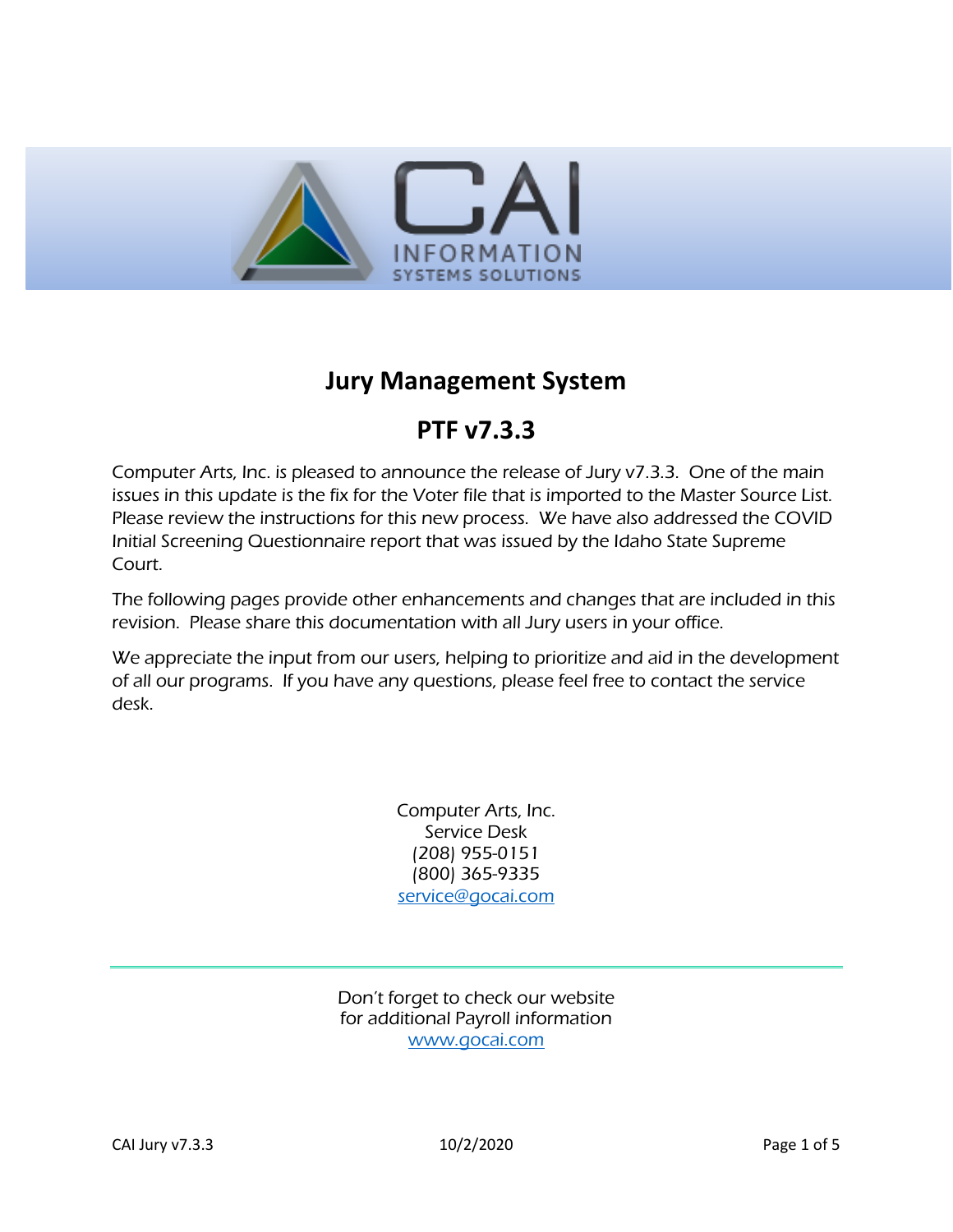

## **Jury Management System**

# **PTF v7.3.3**

Computer Arts, Inc. is pleased to announce the release of Jury v7.3.3. One of the main issues in this update is the fix for the Voter file that is imported to the Master Source List. Please review the instructions for this new process. We have also addressed the COVID Initial Screening Questionnaire report that was issued by the Idaho State Supreme Court.

The following pages provide other enhancements and changes that are included in this revision. Please share this documentation with all Jury users in your office.

We appreciate the input from our users, helping to prioritize and aid in the development of all our programs. If you have any questions, please feel free to contact the service desk.

> Computer Arts, Inc. Service Desk (208) 955-0151 (800) 365-9335 [service@gocai.com](mailto:service@gocai.com)

Don't forget to check our website for additional Payroll information [www.gocai.com](http://www.gocai.com/)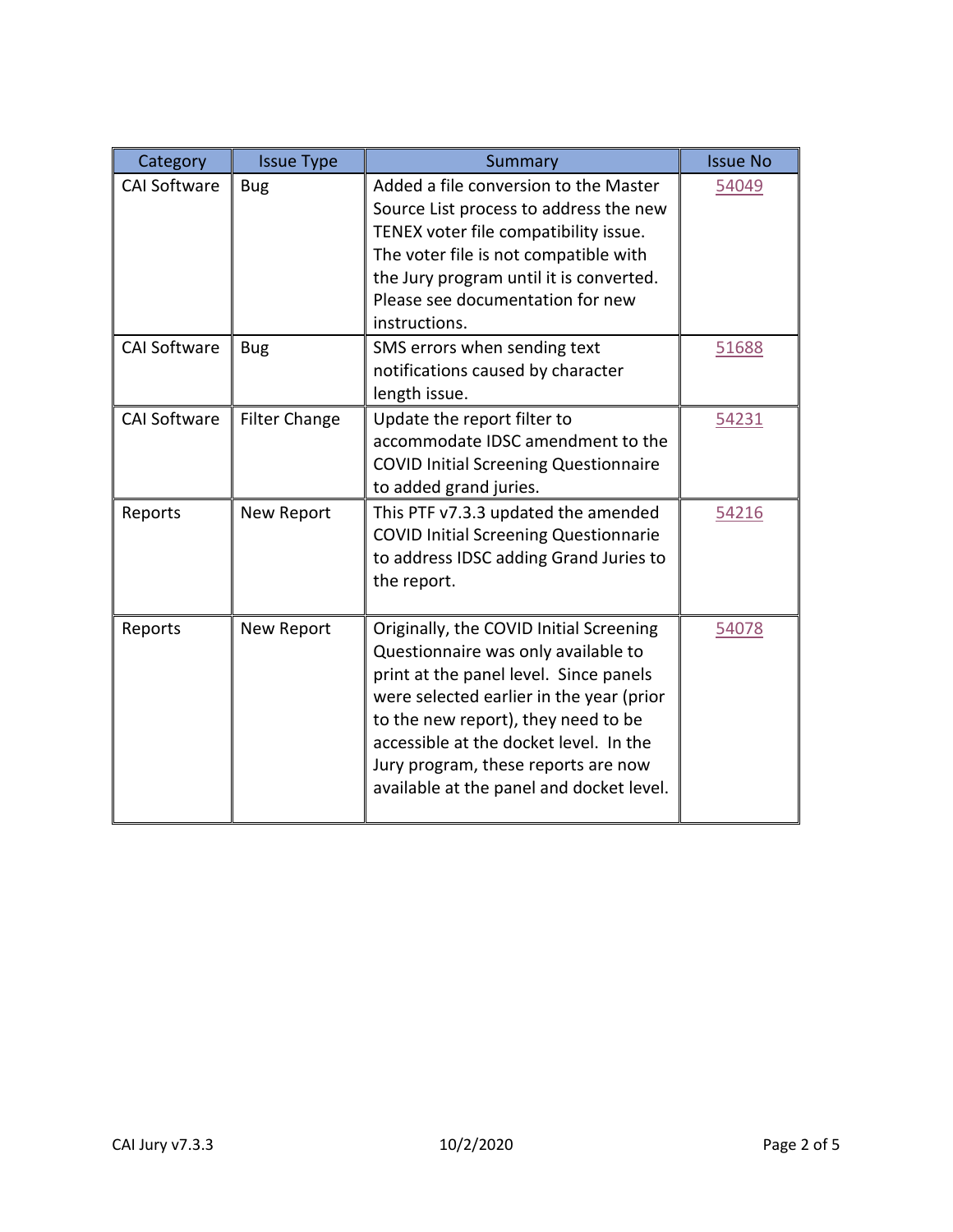| Category            | <b>Issue Type</b>    | Summary                                                                                                                                                                                                                                                                                                                                  | <b>Issue No</b> |
|---------------------|----------------------|------------------------------------------------------------------------------------------------------------------------------------------------------------------------------------------------------------------------------------------------------------------------------------------------------------------------------------------|-----------------|
| <b>CAI Software</b> | <b>Bug</b>           | Added a file conversion to the Master<br>Source List process to address the new<br>TENEX voter file compatibility issue.<br>The voter file is not compatible with<br>the Jury program until it is converted.<br>Please see documentation for new<br>instructions.                                                                        | 54049           |
| <b>CAI Software</b> | <b>Bug</b>           | SMS errors when sending text<br>notifications caused by character<br>length issue.                                                                                                                                                                                                                                                       | 51688           |
| <b>CAI Software</b> | <b>Filter Change</b> | Update the report filter to<br>accommodate IDSC amendment to the<br><b>COVID Initial Screening Questionnaire</b><br>to added grand juries.                                                                                                                                                                                               | 54231           |
| Reports             | New Report           | This PTF v7.3.3 updated the amended<br><b>COVID Initial Screening Questionnarie</b><br>to address IDSC adding Grand Juries to<br>the report.                                                                                                                                                                                             | 54216           |
| Reports             | New Report           | Originally, the COVID Initial Screening<br>Questionnaire was only available to<br>print at the panel level. Since panels<br>were selected earlier in the year (prior<br>to the new report), they need to be<br>accessible at the docket level. In the<br>Jury program, these reports are now<br>available at the panel and docket level. | 54078           |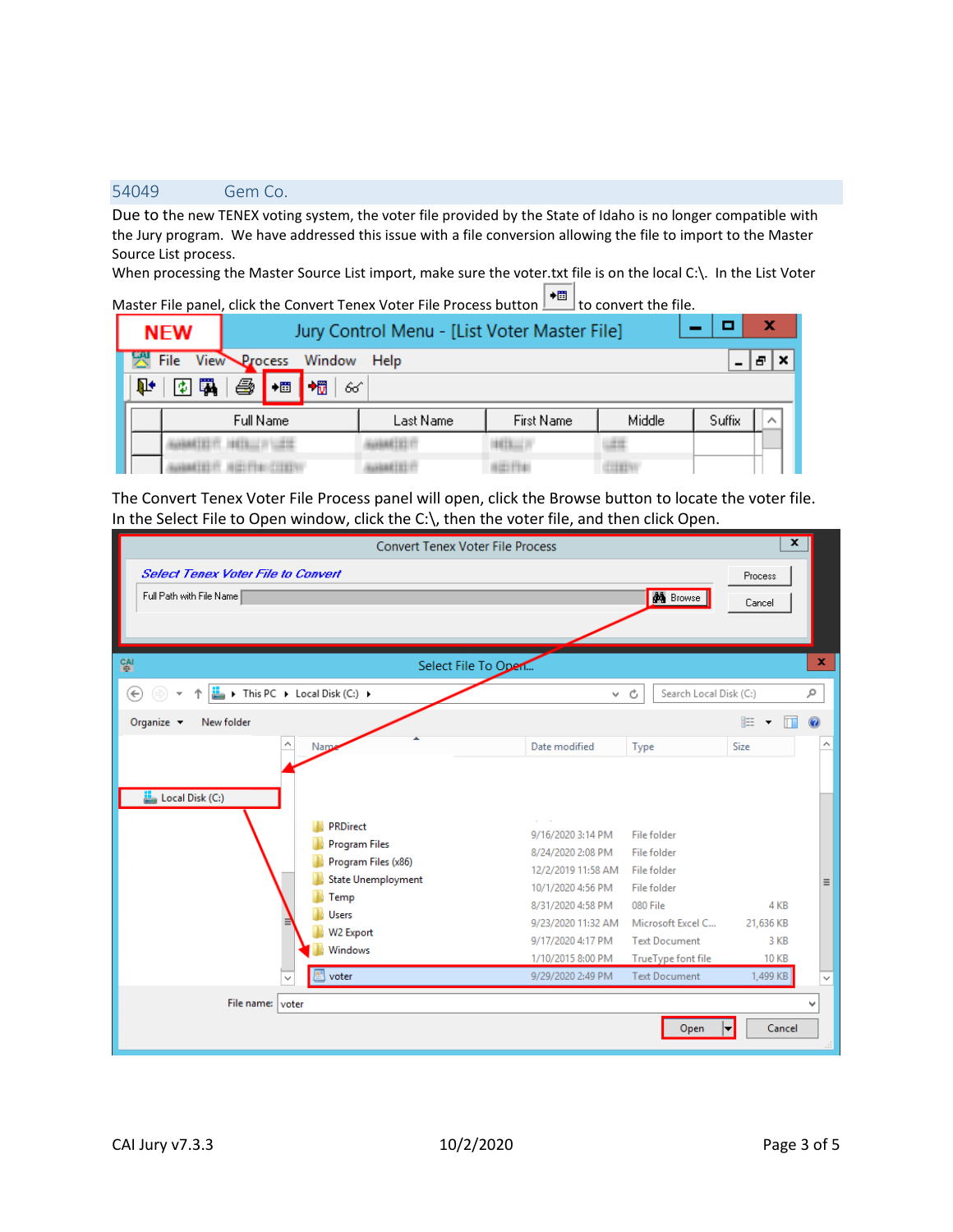### <span id="page-2-0"></span>54049 Gem Co.

Due to the new TENEX voting system, the voter file provided by the State of Idaho is no longer compatible with the Jury program. We have addressed this issue with a file conversion allowing the file to import to the Master Source List process.

When processing the Master Source List import, make sure the voter.txt file is on the local C:\. In the List Voter

Master File panel, click the Convert Tenex Voter File Process button **+**and to convert the file.

| <b>NEW</b> |                     | Jury Control Menu - [List Voter Master File] |           |                   |        |        |  |
|------------|---------------------|----------------------------------------------|-----------|-------------------|--------|--------|--|
| File       | View Process Window |                                              | Help      |                   |        |        |  |
| ¢          | e<br>罠<br>+間        | $+ \overline{m}$<br>66                       |           |                   |        |        |  |
|            | Full Name           |                                              | Last Name | <b>First Name</b> | Middle | Suffix |  |
|            |                     |                                              |           |                   |        |        |  |
|            |                     |                                              |           |                   |        |        |  |

The Convert Tenex Voter File Process panel will open, click the Browse button to locate the voter file. In the Select File to Open window, click the C:\, then the voter file, and then click Open.

| $\overline{\mathbf{x}}$<br><b>Convert Tenex Voter File Process</b> |                    |                             |              |              |  |
|--------------------------------------------------------------------|--------------------|-----------------------------|--------------|--------------|--|
| <b>Select Tenex Voter File to Convert</b><br>Process               |                    |                             |              |              |  |
| Full Path with File Name                                           |                    | <b>do</b> Browse            | Cancel       |              |  |
|                                                                    |                    |                             |              |              |  |
|                                                                    |                    |                             |              |              |  |
| <b>CAI</b><br>Select File To Open                                  |                    |                             |              | $\mathbf x$  |  |
| This PC > Local Disk (C:) ><br>$\left( \leftarrow \right)$         | v.                 | Search Local Disk (C:)<br>Ċ |              | ٩            |  |
| Organize $\blacktriangledown$<br>New folder                        |                    |                             | 睚 ▼          | 0            |  |
| Name                                                               | Date modified      | Type                        | Size         | Α            |  |
|                                                                    |                    |                             |              |              |  |
|                                                                    |                    |                             |              |              |  |
| Local Disk (C:)                                                    |                    |                             |              |              |  |
| <b>PRDirect</b>                                                    | 9/16/2020 3:14 PM  | File folder                 |              |              |  |
| <b>Program Files</b>                                               | 8/24/2020 2:08 PM  | File folder                 |              |              |  |
| Program Files (x86)                                                | 12/2/2019 11:58 AM | File folder                 |              |              |  |
| <b>State Unemployment</b>                                          | 10/1/2020 4:56 PM  | File folder                 |              | $\equiv$     |  |
| Temp<br><b>Users</b>                                               | 8/31/2020 4:58 PM  | 080 File                    | 4 KB         |              |  |
| W2 Export                                                          | 9/23/2020 11:32 AM | Microsoft Excel C           | 21,636 KB    |              |  |
| Windows                                                            | 9/17/2020 4:17 PM  | <b>Text Document</b>        | 3 KB         |              |  |
|                                                                    | 1/10/2015 8:00 PM  | TrueType font file          | <b>10 KB</b> |              |  |
| voter<br>$\checkmark$                                              | 9/29/2020 2:49 PM  | <b>Text Document</b>        | 1,499 KB     | $\checkmark$ |  |
| File name: voter                                                   |                    |                             |              | v            |  |
|                                                                    |                    | Open                        | Cancel       |              |  |
|                                                                    |                    |                             |              |              |  |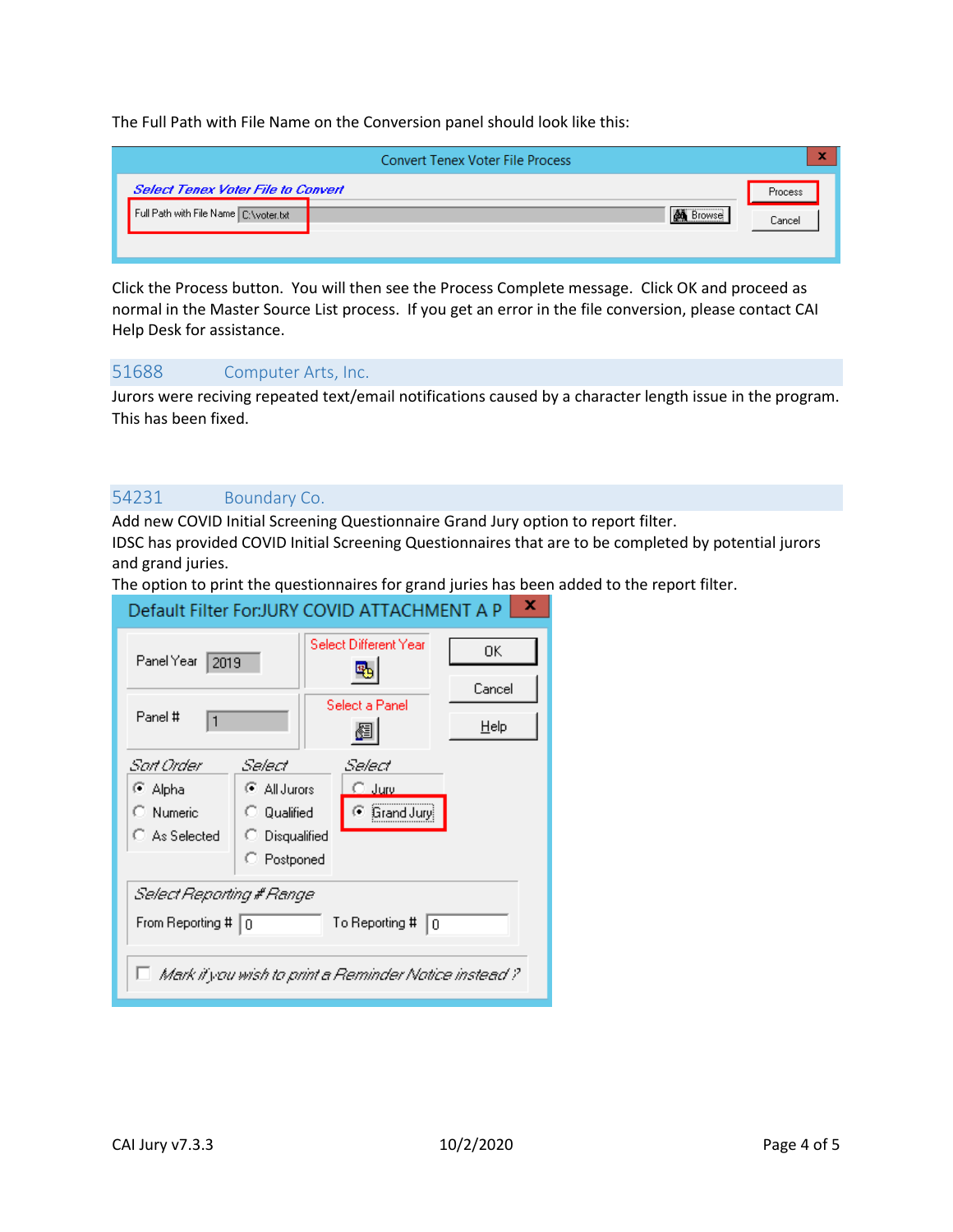The Full Path with File Name on the Conversion panel should look like this:

|                                           | <b>Convert Tenex Voter File Process</b> | ×       |
|-------------------------------------------|-----------------------------------------|---------|
| <b>Select Tenex Voter File to Convert</b> |                                         | Process |
| Full Path with File Name C:\voter.txt     | l <b>&amp;n¥</b> Browsei                | Cancel  |

Click the Process button. You will then see the Process Complete message. Click OK and proceed as normal in the Master Source List process. If you get an error in the file conversion, please contact CAI Help Desk for assistance.

<span id="page-3-0"></span>51688 Computer Arts, Inc.

Jurors were reciving repeated text/email notifications caused by a character length issue in the program. This has been fixed.

#### <span id="page-3-1"></span>54231 Boundary Co.

Add new COVID Initial Screening Questionnaire Grand Jury option to report filter.

IDSC has provided COVID Initial Screening Questionnaires that are to be completed by potential jurors and grand juries.

The option to print the questionnaires for grand juries has been added to the report filter.

| x<br>Default Filter For: JURY COVID ATTACHMENT A P                                                                                          |                                                                        |                       |              |  |  |
|---------------------------------------------------------------------------------------------------------------------------------------------|------------------------------------------------------------------------|-----------------------|--------------|--|--|
| Panel Year<br>2019                                                                                                                          |                                                                        | Select Different Year | OΚ<br>Cancel |  |  |
| Panel #<br>$\mathbf{1}$                                                                                                                     |                                                                        | Select a Panel        | Help         |  |  |
| Sart Order<br>⊕ Alpha<br>C Numeric<br>C As Selected                                                                                         | Select<br>C All Jurors<br>C Qualified<br>C Disqualified<br>C Postponed |                       | Grand Jury   |  |  |
| Select Reporting # Range<br>From Reporting # $ 0\rangle$<br>To Reporting #<br>10<br>□ Mark if you wish to print a Reminder Notice instead ? |                                                                        |                       |              |  |  |